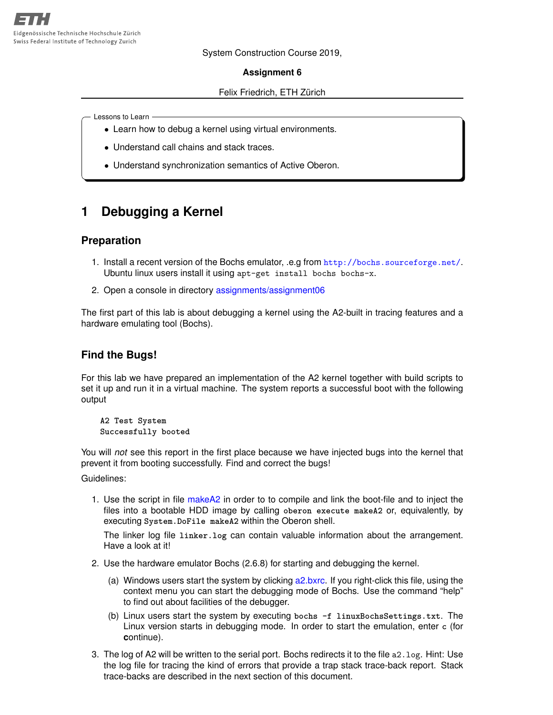System Construction Course 2019,

#### **Assignment 6**

#### Felix Friedrich, ETH Zürich

Lessons to Learn

- Learn how to debug a kernel using virtual environments.
- Understand call chains and stack traces.
- Understand synchronization semantics of Active Oberon.

# **1 Debugging a Kernel**

#### **Preparation**

- 1. Install a recent version of the Bochs emulator, .e.g from <http://bochs.sourceforge.net/>. Ubuntu linux users install it using apt-get install bochs bochs-x.
- 2. Open a console in directory [assignments/assignment06](https://svn.inf.ethz.ch/svn/lecturers/vorlesungen/trunk/syscon/2019/shared/assignments/assignment06)

The first part of this lab is about debugging a kernel using the A2-built in tracing features and a hardware emulating tool (Bochs).

### **Find the Bugs!**

For this lab we have prepared an implementation of the A2 kernel together with build scripts to set it up and run it in a virtual machine. The system reports a successful boot with the following output

**A2 Test System Successfully booted**

You will *not* see this report in the first place because we have injected bugs into the kernel that prevent it from booting successfully. Find and correct the bugs!

Guidelines:

1. Use the script in file [makeA2](https://svn.inf.ethz.ch/svn/lecturers/vorlesungen/trunk/syscon/2019/shared/assignments/assignment06/makeA2) in order to to compile and link the boot-file and to inject the files into a bootable HDD image by calling **oberon execute makeA2** or, equivalently, by executing **System.DoFile makeA2** within the Oberon shell.

The linker log file **linker.log** can contain valuable information about the arrangement. Have a look at it!

- 2. Use the hardware emulator Bochs (2.6.8) for starting and debugging the kernel.
	- (a) Windows users start the system by clicking [a2.bxrc.](https://svn.inf.ethz.ch/svn/lecturers/vorlesungen/trunk/syscon/2019/shared/assignments/assignment06/a2.bxrc) If you right-click this file, using the context menu you can start the debugging mode of Bochs. Use the command "help" to find out about facilities of the debugger.
	- (b) Linux users start the system by executing **bochs -f linuxBochsSettings.txt**. The Linux version starts in debugging mode. In order to start the emulation, enter **c** (for **c**ontinue).
- 3. The log of A2 will be written to the serial port. Bochs redirects it to the file a2.log. Hint: Use the log file for tracing the kind of errors that provide a trap stack trace-back report. Stack trace-backs are described in the next section of this document.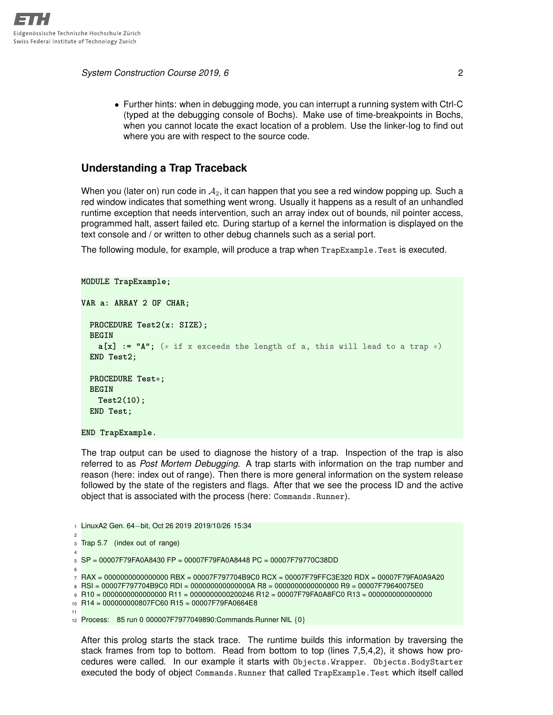*System Construction Course 2019, 6* 2

• Further hints: when in debugging mode, you can interrupt a running system with Ctrl-C (typed at the debugging console of Bochs). Make use of time-breakpoints in Bochs, when you cannot locate the exact location of a problem. Use the linker-log to find out where you are with respect to the source code.

## **Understanding a Trap Traceback**

When you (later on) run code in  $A_2$ , it can happen that you see a red window popping up. Such a red window indicates that something went wrong. Usually it happens as a result of an unhandled runtime exception that needs intervention, such an array index out of bounds, nil pointer access, programmed halt, assert failed etc. During startup of a kernel the information is displayed on the text console and / or written to other debug channels such as a serial port.

The following module, for example, will produce a trap when TrapExample.Test is executed.

```
MODULE TrapExample;
VAR a: ARRAY 2 OF CHAR;
 PROCEDURE Test2(x: SIZE);
 BEGIN
   a[x] := "A"; (∗ if x exceeds the length of a, this will lead to a trap ∗)
 END Test2;
 PROCEDURE Test∗;
 BEGIN
   Test2(10);
 END Test;
END TrapExample.
```
The trap output can be used to diagnose the history of a trap. Inspection of the trap is also referred to as *Post Mortem Debugging*. A trap starts with information on the trap number and reason (here: index out of range). Then there is more general information on the system release followed by the state of the registers and flags. After that we see the process ID and the active object that is associated with the process (here: Commands.Runner).

<sup>1</sup> LinuxA2 Gen. 64−bit, Oct 26 2019 2019/10/26 15:34  $\overline{2}$ 3 Trap 5.7 (index out of range) 4  $5$  SP = 00007F79FA0A8430 FP = 00007F79FA0A8448 PC = 00007F79770C38DD 6 <sup>7</sup> RAX = 0000000000000000 RBX = 00007F797704B9C0 RCX = 00007F79FFC3E320 RDX = 00007F79FA0A9A20 8 RSI = 00007F797704B9C0 RDI = 000000000000000A R8 = 0000000000000000 R9 = 00007F79640075E0 <sup>9</sup> R10 = 0000000000000000 R11 = 0000000000200246 R12 = 00007F79FA0A8FC0 R13 = 0000000000000000 <sup>10</sup> R14 = 000000000807FC60 R15 = 00007F79FA0664E8 11 <sup>12</sup> Process: 85 run 0 000007F7977049890:Commands.Runner NIL {0}

After this prolog starts the stack trace. The runtime builds this information by traversing the stack frames from top to bottom. Read from bottom to top (lines 7,5,4,2), it shows how procedures were called. In our example it starts with Objects.Wrapper. Objects.BodyStarter executed the body of object Commands.Runner that called TrapExample.Test which itself called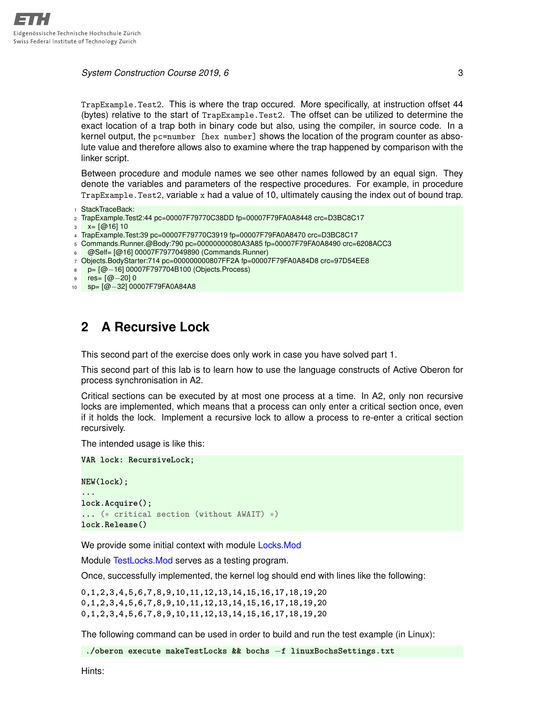#### **System Construction Course 2019, 6** 3

TrapExample.Test2. This is where the trap occured. More specifically, at instruction offset 44 (bytes) relative to the start of TrapExample.Test2. The offset can be utilized to determine the exact location of a trap both in binary code but also, using the compiler, in source code. In a kernel output, the pc=number [hex number] shows the location of the program counter as absolute value and therefore allows also to examine where the trap happened by comparison with the linker script.

Between procedure and module names we see other names followed by an equal sign. They denote the variables and parameters of the respective procedures. For example, in procedure TrapExample.Test2, variable x had a value of 10, ultimately causing the index out of bound trap.

1 StackTraceBack:

- <sup>2</sup> TrapExample.Test2:44 pc=00007F79770C38DD fp=00007F79FA0A8448 crc=D3BC8C17
- $x = [\omega 16] 10$
- <sup>4</sup> TrapExample.Test:39 pc=00007F79770C3919 fp=00007F79FA0A8470 crc=D3BC8C17
- <sup>5</sup> Commands.Runner.@Body:790 pc=00000000080A3A85 fp=00007F79FA0A8490 crc=6208ACC3
- <sup>6</sup> @Self= [@16] 00007F7977049890 (Commands.Runner)
- <sup>7</sup> Objects.BodyStarter:714 pc=000000000807FF2A fp=00007F79FA0A84D8 crc=97D54EE8
- <sup>8</sup> p= [@−16] 00007F797704B100 (Objects.Process)
- res= [@−20] 0
- <sup>10</sup> sp= [@−32] 00007F79FA0A84A8

## **2 A Recursive Lock**

This second part of the exercise does only work in case you have solved part 1.

This second part of this lab is to learn how to use the language constructs of Active Oberon for process synchronisation in A2.

Critical sections can be executed by at most one process at a time. In A2, only non recursive locks are implemented, which means that a process can only enter a critical section once, even if it holds the lock. Implement a recursive lock to allow a process to re-enter a critical section recursively.

The intended usage is like this:

**VAR lock: RecursiveLock; NEW(lock); ... lock.Acquire(); ... (**∗ **critical section (without AWAIT)** ∗**) lock.Release()**

We provide some initial context with module [Locks.Mod](https://svn.inf.ethz.ch/svn/lecturers/vorlesungen/trunk/syscon/2019/shared/assignments/assignment06/src/Locks.Mod)

Module [TestLocks.Mod](https://svn.inf.ethz.ch/svn/lecturers/vorlesungen/trunk/syscon/2019/shared/assignments/assignment06/src/TestLocks.Mod) serves as a testing program.

Once, successfully implemented, the kernel log should end with lines like the following:

**0,1,2,3,4,5,6,7,8,9,10,11,12,13,14,15,16,17,18,19,20 0,1,2,3,4,5,6,7,8,9,10,11,12,13,14,15,16,17,18,19,20 0,1,2,3,4,5,6,7,8,9,10,11,12,13,14,15,16,17,18,19,20**

The following command can be used in order to build and run the test example (in Linux):

**./oberon execute makeTestLocks && bochs** −**f linuxBochsSettings.txt**

Hints: